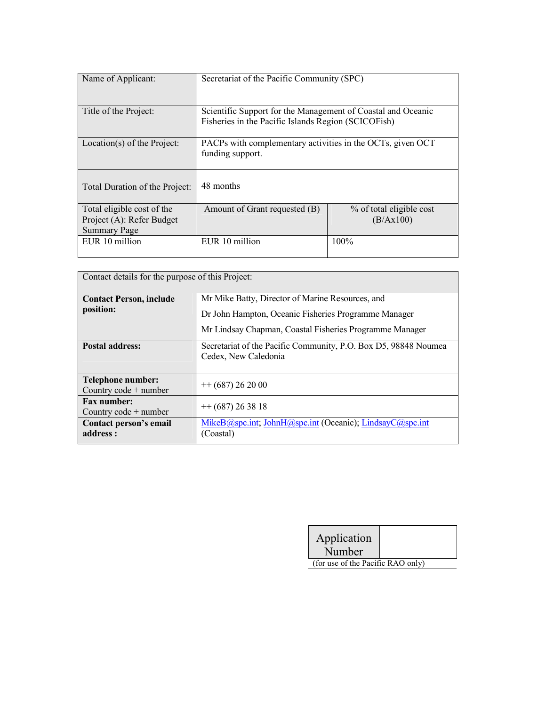| Name of Applicant:                                                             | Secretariat of the Pacific Community (SPC)                                                                          |                                       |
|--------------------------------------------------------------------------------|---------------------------------------------------------------------------------------------------------------------|---------------------------------------|
| Title of the Project:                                                          | Scientific Support for the Management of Coastal and Oceanic<br>Fisheries in the Pacific Islands Region (SCICOFish) |                                       |
| Location(s) of the Project:                                                    | PACPs with complementary activities in the OCTs, given OCT<br>funding support.                                      |                                       |
| Total Duration of the Project:                                                 | 48 months                                                                                                           |                                       |
| Total eligible cost of the<br>Project (A): Refer Budget<br><b>Summary Page</b> | Amount of Grant requested (B)                                                                                       | % of total eligible cost<br>(B/Ax100) |
| EUR 10 million                                                                 | EUR 10 million                                                                                                      | $100\%$                               |

| Contact details for the purpose of this Project: |                                                                                         |  |
|--------------------------------------------------|-----------------------------------------------------------------------------------------|--|
| <b>Contact Person, include</b>                   | Mr Mike Batty, Director of Marine Resources, and                                        |  |
| position:                                        | Dr John Hampton, Oceanic Fisheries Programme Manager                                    |  |
|                                                  | Mr Lindsay Chapman, Coastal Fisheries Programme Manager                                 |  |
| <b>Postal address:</b>                           | Secretariat of the Pacific Community, P.O. Box D5, 98848 Noumea<br>Cedex, New Caledonia |  |
| Telephone number:<br>Country $code + number$     | $+$ (687) 26 20 00                                                                      |  |
| <b>Fax number:</b><br>Country $code + number$    | $+$ (687) 26 38 18                                                                      |  |
| Contact person's email<br>address :              | MikeB@spc.int, JohnH@spc.int (Oceanic); LindsayC@spc.int<br>(Coastal)                   |  |

| Application<br>Number             |  |
|-----------------------------------|--|
| (for use of the Pacific RAO only) |  |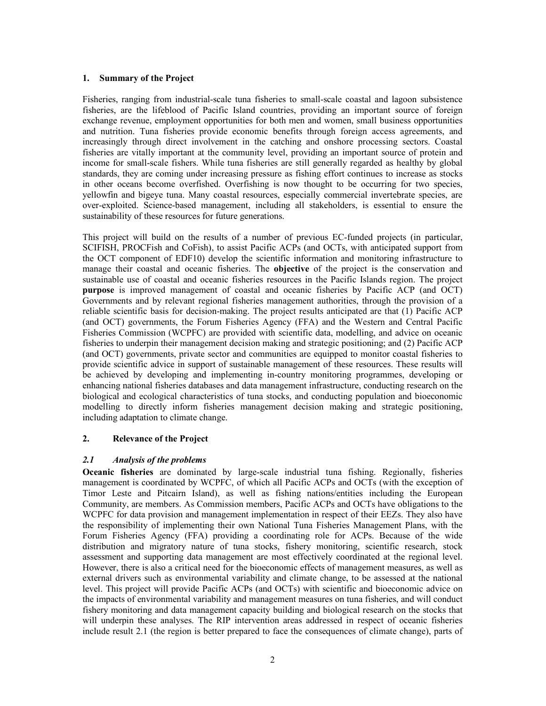#### 1. Summary of the Project

Fisheries, ranging from industrial-scale tuna fisheries to small-scale coastal and lagoon subsistence fisheries, are the lifeblood of Pacific Island countries, providing an important source of foreign exchange revenue, employment opportunities for both men and women, small business opportunities and nutrition. Tuna fisheries provide economic benefits through foreign access agreements, and increasingly through direct involvement in the catching and onshore processing sectors. Coastal fisheries are vitally important at the community level, providing an important source of protein and income for small-scale fishers. While tuna fisheries are still generally regarded as healthy by global standards, they are coming under increasing pressure as fishing effort continues to increase as stocks in other oceans become overfished. Overfishing is now thought to be occurring for two species, yellowfin and bigeye tuna. Many coastal resources, especially commercial invertebrate species, are over-exploited. Science-based management, including all stakeholders, is essential to ensure the sustainability of these resources for future generations.

This project will build on the results of a number of previous EC-funded projects (in particular, SCIFISH, PROCFish and CoFish), to assist Pacific ACPs (and OCTs, with anticipated support from the OCT component of EDF10) develop the scientific information and monitoring infrastructure to manage their coastal and oceanic fisheries. The objective of the project is the conservation and sustainable use of coastal and oceanic fisheries resources in the Pacific Islands region. The project purpose is improved management of coastal and oceanic fisheries by Pacific ACP (and OCT) Governments and by relevant regional fisheries management authorities, through the provision of a reliable scientific basis for decision-making. The project results anticipated are that (1) Pacific ACP (and OCT) governments, the Forum Fisheries Agency (FFA) and the Western and Central Pacific Fisheries Commission (WCPFC) are provided with scientific data, modelling, and advice on oceanic fisheries to underpin their management decision making and strategic positioning; and (2) Pacific ACP (and OCT) governments, private sector and communities are equipped to monitor coastal fisheries to provide scientific advice in support of sustainable management of these resources. These results will be achieved by developing and implementing in-country monitoring programmes, developing or enhancing national fisheries databases and data management infrastructure, conducting research on the biological and ecological characteristics of tuna stocks, and conducting population and bioeconomic modelling to directly inform fisheries management decision making and strategic positioning, including adaptation to climate change.

#### 2. Relevance of the Project

#### 2.1 Analysis of the problems

Oceanic fisheries are dominated by large-scale industrial tuna fishing. Regionally, fisheries management is coordinated by WCPFC, of which all Pacific ACPs and OCTs (with the exception of Timor Leste and Pitcairn Island), as well as fishing nations/entities including the European Community, are members. As Commission members, Pacific ACPs and OCTs have obligations to the WCPFC for data provision and management implementation in respect of their EEZs. They also have the responsibility of implementing their own National Tuna Fisheries Management Plans, with the Forum Fisheries Agency (FFA) providing a coordinating role for ACPs. Because of the wide distribution and migratory nature of tuna stocks, fishery monitoring, scientific research, stock assessment and supporting data management are most effectively coordinated at the regional level. However, there is also a critical need for the bioeconomic effects of management measures, as well as external drivers such as environmental variability and climate change, to be assessed at the national level. This project will provide Pacific ACPs (and OCTs) with scientific and bioeconomic advice on the impacts of environmental variability and management measures on tuna fisheries, and will conduct fishery monitoring and data management capacity building and biological research on the stocks that will underpin these analyses. The RIP intervention areas addressed in respect of oceanic fisheries include result 2.1 (the region is better prepared to face the consequences of climate change), parts of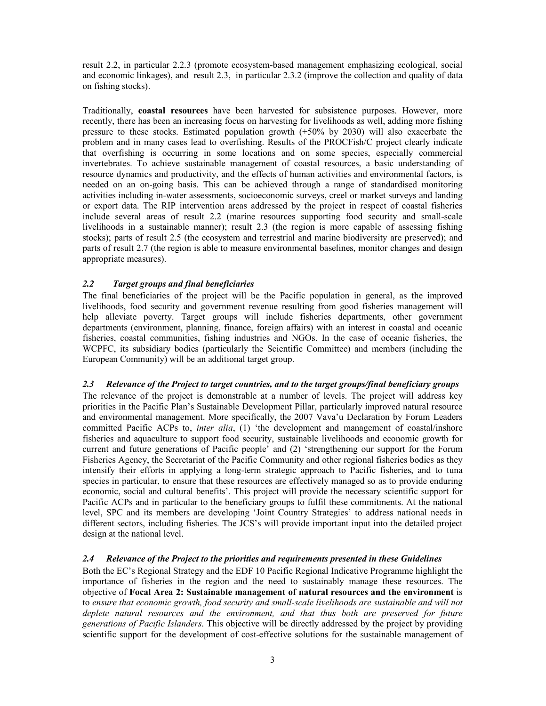result 2.2, in particular 2.2.3 (promote ecosystem-based management emphasizing ecological, social and economic linkages), and result 2.3, in particular 2.3.2 (improve the collection and quality of data on fishing stocks).

Traditionally, coastal resources have been harvested for subsistence purposes. However, more recently, there has been an increasing focus on harvesting for livelihoods as well, adding more fishing pressure to these stocks. Estimated population growth (+50% by 2030) will also exacerbate the problem and in many cases lead to overfishing. Results of the PROCFish/C project clearly indicate that overfishing is occurring in some locations and on some species, especially commercial invertebrates. To achieve sustainable management of coastal resources, a basic understanding of resource dynamics and productivity, and the effects of human activities and environmental factors, is needed on an on-going basis. This can be achieved through a range of standardised monitoring activities including in-water assessments, socioeconomic surveys, creel or market surveys and landing or export data. The RIP intervention areas addressed by the project in respect of coastal fisheries include several areas of result 2.2 (marine resources supporting food security and small-scale livelihoods in a sustainable manner); result 2.3 (the region is more capable of assessing fishing stocks); parts of result 2.5 (the ecosystem and terrestrial and marine biodiversity are preserved); and parts of result 2.7 (the region is able to measure environmental baselines, monitor changes and design appropriate measures).

#### 2.2 Target groups and final beneficiaries

The final beneficiaries of the project will be the Pacific population in general, as the improved livelihoods, food security and government revenue resulting from good fisheries management will help alleviate poverty. Target groups will include fisheries departments, other government departments (environment, planning, finance, foreign affairs) with an interest in coastal and oceanic fisheries, coastal communities, fishing industries and NGOs. In the case of oceanic fisheries, the WCPFC, its subsidiary bodies (particularly the Scientific Committee) and members (including the European Community) will be an additional target group.

#### 2.3 Relevance of the Project to target countries, and to the target groups/final beneficiary groups

The relevance of the project is demonstrable at a number of levels. The project will address key priorities in the Pacific Plan's Sustainable Development Pillar, particularly improved natural resource and environmental management. More specifically, the 2007 Vava'u Declaration by Forum Leaders committed Pacific ACPs to, *inter alia*, (1) 'the development and management of coastal/inshore fisheries and aquaculture to support food security, sustainable livelihoods and economic growth for current and future generations of Pacific people' and (2) 'strengthening our support for the Forum Fisheries Agency, the Secretariat of the Pacific Community and other regional fisheries bodies as they intensify their efforts in applying a long-term strategic approach to Pacific fisheries, and to tuna species in particular, to ensure that these resources are effectively managed so as to provide enduring economic, social and cultural benefits'. This project will provide the necessary scientific support for Pacific ACPs and in particular to the beneficiary groups to fulfil these commitments. At the national level, SPC and its members are developing 'Joint Country Strategies' to address national needs in different sectors, including fisheries. The JCS's will provide important input into the detailed project design at the national level.

#### 2.4 Relevance of the Project to the priorities and requirements presented in these Guidelines

Both the EC's Regional Strategy and the EDF 10 Pacific Regional Indicative Programme highlight the importance of fisheries in the region and the need to sustainably manage these resources. The objective of Focal Area 2: Sustainable management of natural resources and the environment is to ensure that economic growth, food security and small-scale livelihoods are sustainable and will not deplete natural resources and the environment, and that thus both are preserved for future generations of Pacific Islanders. This objective will be directly addressed by the project by providing scientific support for the development of cost-effective solutions for the sustainable management of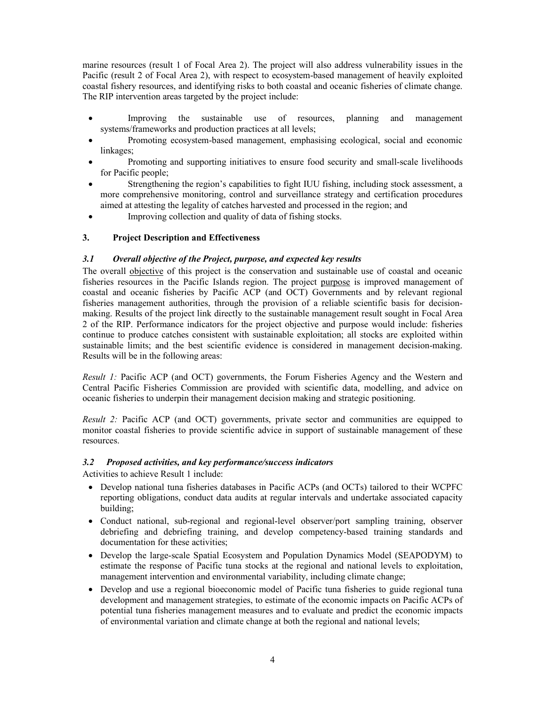marine resources (result 1 of Focal Area 2). The project will also address vulnerability issues in the Pacific (result 2 of Focal Area 2), with respect to ecosystem-based management of heavily exploited coastal fishery resources, and identifying risks to both coastal and oceanic fisheries of climate change. The RIP intervention areas targeted by the project include:

- Improving the sustainable use of resources, planning and management systems/frameworks and production practices at all levels;
- Promoting ecosystem-based management, emphasising ecological, social and economic linkages;
- Promoting and supporting initiatives to ensure food security and small-scale livelihoods for Pacific people;
- Strengthening the region's capabilities to fight IUU fishing, including stock assessment, a more comprehensive monitoring, control and surveillance strategy and certification procedures aimed at attesting the legality of catches harvested and processed in the region; and
- Improving collection and quality of data of fishing stocks.

## 3. Project Description and Effectiveness

#### 3.1 Overall objective of the Project, purpose, and expected key results

The overall objective of this project is the conservation and sustainable use of coastal and oceanic fisheries resources in the Pacific Islands region. The project purpose is improved management of coastal and oceanic fisheries by Pacific ACP (and OCT) Governments and by relevant regional fisheries management authorities, through the provision of a reliable scientific basis for decisionmaking. Results of the project link directly to the sustainable management result sought in Focal Area 2 of the RIP. Performance indicators for the project objective and purpose would include: fisheries continue to produce catches consistent with sustainable exploitation; all stocks are exploited within sustainable limits; and the best scientific evidence is considered in management decision-making. Results will be in the following areas:

Result 1: Pacific ACP (and OCT) governments, the Forum Fisheries Agency and the Western and Central Pacific Fisheries Commission are provided with scientific data, modelling, and advice on oceanic fisheries to underpin their management decision making and strategic positioning.

Result 2: Pacific ACP (and OCT) governments, private sector and communities are equipped to monitor coastal fisheries to provide scientific advice in support of sustainable management of these resources.

#### 3.2 Proposed activities, and key performance/success indicators

Activities to achieve Result 1 include:

- Develop national tuna fisheries databases in Pacific ACPs (and OCTs) tailored to their WCPFC reporting obligations, conduct data audits at regular intervals and undertake associated capacity building;
- Conduct national, sub-regional and regional-level observer/port sampling training, observer debriefing and debriefing training, and develop competency-based training standards and documentation for these activities;
- Develop the large-scale Spatial Ecosystem and Population Dynamics Model (SEAPODYM) to estimate the response of Pacific tuna stocks at the regional and national levels to exploitation, management intervention and environmental variability, including climate change;
- Develop and use a regional bioeconomic model of Pacific tuna fisheries to guide regional tuna development and management strategies, to estimate of the economic impacts on Pacific ACPs of potential tuna fisheries management measures and to evaluate and predict the economic impacts of environmental variation and climate change at both the regional and national levels;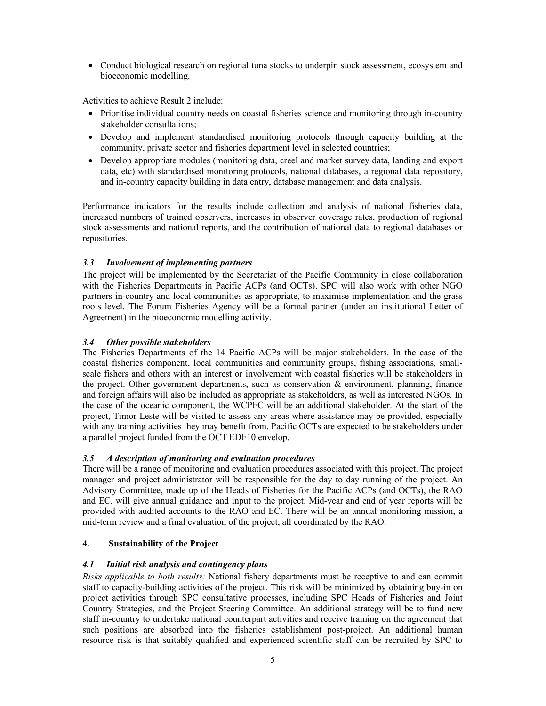• Conduct biological research on regional tuna stocks to underpin stock assessment, ecosystem and bioeconomic modelling.

Activities to achieve Result 2 include:

- Prioritise individual country needs on coastal fisheries science and monitoring through in-country stakeholder consultations;
- Develop and implement standardised monitoring protocols through capacity building at the community, private sector and fisheries department level in selected countries;
- Develop appropriate modules (monitoring data, creel and market survey data, landing and export data, etc) with standardised monitoring protocols, national databases, a regional data repository, and in-country capacity building in data entry, database management and data analysis.

Performance indicators for the results include collection and analysis of national fisheries data, increased numbers of trained observers, increases in observer coverage rates, production of regional stock assessments and national reports, and the contribution of national data to regional databases or repositories.

## 3.3 Involvement of implementing partners

The project will be implemented by the Secretariat of the Pacific Community in close collaboration with the Fisheries Departments in Pacific ACPs (and OCTs). SPC will also work with other NGO partners in-country and local communities as appropriate, to maximise implementation and the grass roots level. The Forum Fisheries Agency will be a formal partner (under an institutional Letter of Agreement) in the bioeconomic modelling activity.

#### 3.4 Other possible stakeholders

The Fisheries Departments of the 14 Pacific ACPs will be major stakeholders. In the case of the coastal fisheries component, local communities and community groups, fishing associations, smallscale fishers and others with an interest or involvement with coastal fisheries will be stakeholders in the project. Other government departments, such as conservation  $\&$  environment, planning, finance and foreign affairs will also be included as appropriate as stakeholders, as well as interested NGOs. In the case of the oceanic component, the WCPFC will be an additional stakeholder. At the start of the project, Timor Leste will be visited to assess any areas where assistance may be provided, especially with any training activities they may benefit from. Pacific OCTs are expected to be stakeholders under a parallel project funded from the OCT EDF10 envelop.

## 3.5 A description of monitoring and evaluation procedures

There will be a range of monitoring and evaluation procedures associated with this project. The project manager and project administrator will be responsible for the day to day running of the project. An Advisory Committee, made up of the Heads of Fisheries for the Pacific ACPs (and OCTs), the RAO and EC, will give annual guidance and input to the project. Mid-year and end of year reports will be provided with audited accounts to the RAO and EC. There will be an annual monitoring mission, a mid-term review and a final evaluation of the project, all coordinated by the RAO.

## 4. Sustainability of the Project

## 4.1 Initial risk analysis and contingency plans

Risks applicable to both results: National fishery departments must be receptive to and can commit staff to capacity-building activities of the project. This risk will be minimized by obtaining buy-in on project activities through SPC consultative processes, including SPC Heads of Fisheries and Joint Country Strategies, and the Project Steering Committee. An additional strategy will be to fund new staff in-country to undertake national counterpart activities and receive training on the agreement that such positions are absorbed into the fisheries establishment post-project. An additional human resource risk is that suitably qualified and experienced scientific staff can be recruited by SPC to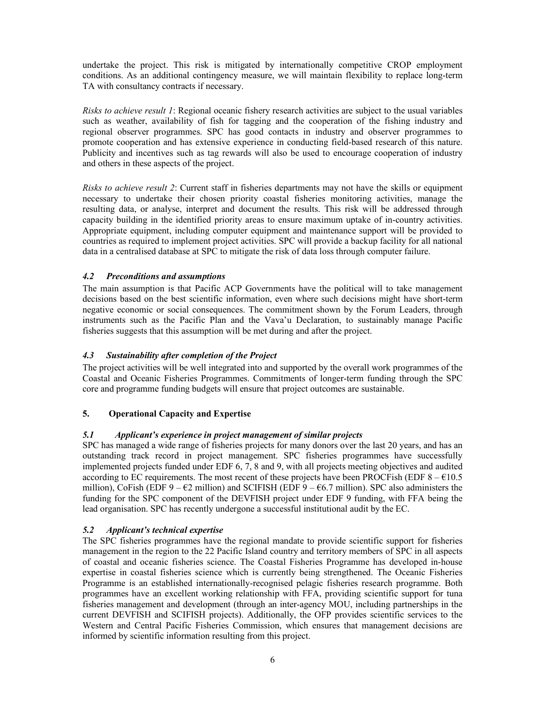undertake the project. This risk is mitigated by internationally competitive CROP employment conditions. As an additional contingency measure, we will maintain flexibility to replace long-term TA with consultancy contracts if necessary.

Risks to achieve result 1: Regional oceanic fishery research activities are subject to the usual variables such as weather, availability of fish for tagging and the cooperation of the fishing industry and regional observer programmes. SPC has good contacts in industry and observer programmes to promote cooperation and has extensive experience in conducting field-based research of this nature. Publicity and incentives such as tag rewards will also be used to encourage cooperation of industry and others in these aspects of the project.

Risks to achieve result 2: Current staff in fisheries departments may not have the skills or equipment necessary to undertake their chosen priority coastal fisheries monitoring activities, manage the resulting data, or analyse, interpret and document the results. This risk will be addressed through capacity building in the identified priority areas to ensure maximum uptake of in-country activities. Appropriate equipment, including computer equipment and maintenance support will be provided to countries as required to implement project activities. SPC will provide a backup facility for all national data in a centralised database at SPC to mitigate the risk of data loss through computer failure.

## 4.2 Preconditions and assumptions

The main assumption is that Pacific ACP Governments have the political will to take management decisions based on the best scientific information, even where such decisions might have short-term negative economic or social consequences. The commitment shown by the Forum Leaders, through instruments such as the Pacific Plan and the Vava'u Declaration, to sustainably manage Pacific fisheries suggests that this assumption will be met during and after the project.

## 4.3 Sustainability after completion of the Project

The project activities will be well integrated into and supported by the overall work programmes of the Coastal and Oceanic Fisheries Programmes. Commitments of longer-term funding through the SPC core and programme funding budgets will ensure that project outcomes are sustainable.

## 5. Operational Capacity and Expertise

#### 5.1 Applicant's experience in project management of similar projects

SPC has managed a wide range of fisheries projects for many donors over the last 20 years, and has an outstanding track record in project management. SPC fisheries programmes have successfully implemented projects funded under EDF 6, 7, 8 and 9, with all projects meeting objectives and audited according to EC requirements. The most recent of these projects have been PROCFish (EDF  $8 - \epsilon 10.5$ ) million), CoFish (EDF  $9 - \epsilon 2$  million) and SCIFISH (EDF  $9 - \epsilon 6.7$  million). SPC also administers the funding for the SPC component of the DEVFISH project under EDF 9 funding, with FFA being the lead organisation. SPC has recently undergone a successful institutional audit by the EC.

#### 5.2 Applicant's technical expertise

The SPC fisheries programmes have the regional mandate to provide scientific support for fisheries management in the region to the 22 Pacific Island country and territory members of SPC in all aspects of coastal and oceanic fisheries science. The Coastal Fisheries Programme has developed in-house expertise in coastal fisheries science which is currently being strengthened. The Oceanic Fisheries Programme is an established internationally-recognised pelagic fisheries research programme. Both programmes have an excellent working relationship with FFA, providing scientific support for tuna fisheries management and development (through an inter-agency MOU, including partnerships in the current DEVFISH and SCIFISH projects). Additionally, the OFP provides scientific services to the Western and Central Pacific Fisheries Commission, which ensures that management decisions are informed by scientific information resulting from this project.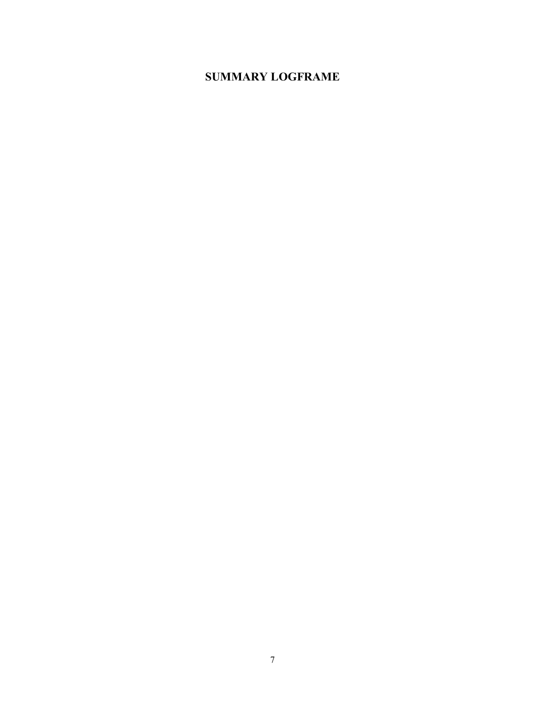# SUMMARY LOGFRAME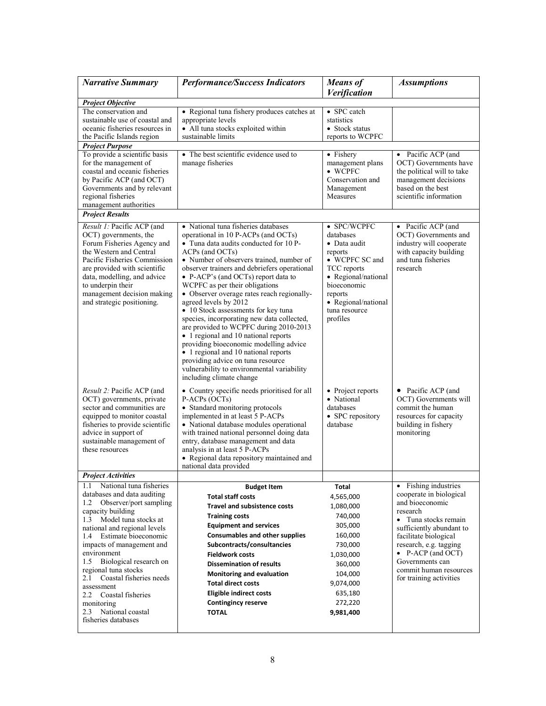| <b>Narrative Summary</b>                                                                                                                                                                                                                                                                                                                                                                                                                                           | <b>Performance/Success Indicators</b>                                                                                                                                                                                                                                                                                                                                                                                                                                                                                                                                                                                                                                                                                                                       | <b>Means</b> of<br>Verification                                                                                                                                                           | <b>Assumptions</b>                                                                                                                                                                                                                                                                         |
|--------------------------------------------------------------------------------------------------------------------------------------------------------------------------------------------------------------------------------------------------------------------------------------------------------------------------------------------------------------------------------------------------------------------------------------------------------------------|-------------------------------------------------------------------------------------------------------------------------------------------------------------------------------------------------------------------------------------------------------------------------------------------------------------------------------------------------------------------------------------------------------------------------------------------------------------------------------------------------------------------------------------------------------------------------------------------------------------------------------------------------------------------------------------------------------------------------------------------------------------|-------------------------------------------------------------------------------------------------------------------------------------------------------------------------------------------|--------------------------------------------------------------------------------------------------------------------------------------------------------------------------------------------------------------------------------------------------------------------------------------------|
| <b>Project Objective</b>                                                                                                                                                                                                                                                                                                                                                                                                                                           |                                                                                                                                                                                                                                                                                                                                                                                                                                                                                                                                                                                                                                                                                                                                                             |                                                                                                                                                                                           |                                                                                                                                                                                                                                                                                            |
| The conservation and<br>sustainable use of coastal and<br>oceanic fisheries resources in<br>the Pacific Islands region                                                                                                                                                                                                                                                                                                                                             | • Regional tuna fishery produces catches at<br>appropriate levels<br>• All tuna stocks exploited within<br>sustainable limits                                                                                                                                                                                                                                                                                                                                                                                                                                                                                                                                                                                                                               | • SPC catch<br>statistics<br>• Stock status<br>reports to WCPFC                                                                                                                           |                                                                                                                                                                                                                                                                                            |
| <b>Project Purpose</b>                                                                                                                                                                                                                                                                                                                                                                                                                                             |                                                                                                                                                                                                                                                                                                                                                                                                                                                                                                                                                                                                                                                                                                                                                             |                                                                                                                                                                                           |                                                                                                                                                                                                                                                                                            |
| To provide a scientific basis<br>for the management of<br>coastal and oceanic fisheries<br>by Pacific ACP (and OCT)<br>Governments and by relevant<br>regional fisheries<br>management authorities                                                                                                                                                                                                                                                                 | • The best scientific evidence used to<br>manage fisheries                                                                                                                                                                                                                                                                                                                                                                                                                                                                                                                                                                                                                                                                                                  | • Fishery<br>management plans<br>$\bullet$ WCPFC<br>Conservation and<br>Management<br>Measures                                                                                            | • Pacific ACP (and<br>OCT) Governments have<br>the political will to take<br>management decisions<br>based on the best<br>scientific information                                                                                                                                           |
| <b>Project Results</b>                                                                                                                                                                                                                                                                                                                                                                                                                                             |                                                                                                                                                                                                                                                                                                                                                                                                                                                                                                                                                                                                                                                                                                                                                             |                                                                                                                                                                                           |                                                                                                                                                                                                                                                                                            |
| Result 1: Pacific ACP (and<br>OCT) governments, the<br>Forum Fisheries Agency and<br>the Western and Central<br>Pacific Fisheries Commission<br>are provided with scientific<br>data, modelling, and advice<br>to underpin their<br>management decision making<br>and strategic positioning.                                                                                                                                                                       | • National tuna fisheries databases<br>operational in 10 P-ACPs (and OCTs)<br>• Tuna data audits conducted for 10 P-<br>ACPs (and OCTs)<br>• Number of observers trained, number of<br>observer trainers and debriefers operational<br>• P-ACP's (and OCTs) report data to<br>WCPFC as per their obligations<br>• Observer overage rates reach regionally-<br>agreed levels by 2012<br>• 10 Stock assessments for key tuna<br>species, incorporating new data collected,<br>are provided to WCPFC during 2010-2013<br>• 1 regional and 10 national reports<br>providing bioeconomic modelling advice<br>• 1 regional and 10 national reports<br>providing advice on tuna resource<br>vulnerability to environmental variability<br>including climate change | • SPC/WCPFC<br>databases<br>• Data audit<br>reports<br>• WCPFC SC and<br>TCC reports<br>• Regional/national<br>bioeconomic<br>reports<br>• Regional/national<br>tuna resource<br>profiles | • Pacific ACP (and<br>OCT) Governments and<br>industry will cooperate<br>with capacity building<br>and tuna fisheries<br>research                                                                                                                                                          |
| <i>Result 2:</i> Pacific ACP (and<br>OCT) governments, private<br>sector and communities are<br>equipped to monitor coastal<br>fisheries to provide scientific<br>advice in support of<br>sustainable management of<br>these resources                                                                                                                                                                                                                             | • Country specific needs prioritised for all<br>P-ACPs (OCTs)<br>• Standard monitoring protocols<br>implemented in at least 5 P-ACPs<br>• National database modules operational<br>with trained national personnel doing data<br>entry, database management and data<br>analysis in at least 5 P-ACPs<br>• Regional data repository maintained and<br>national data provided                                                                                                                                                                                                                                                                                                                                                                                | • Project reports<br>• National<br>databases<br>• SPC repository<br>database                                                                                                              | • Pacific ACP (and<br>OCT) Governments will<br>commit the human<br>resources for capacity<br>building in fishery<br>monitoring                                                                                                                                                             |
| <b>Project Activities</b>                                                                                                                                                                                                                                                                                                                                                                                                                                          |                                                                                                                                                                                                                                                                                                                                                                                                                                                                                                                                                                                                                                                                                                                                                             |                                                                                                                                                                                           |                                                                                                                                                                                                                                                                                            |
| National tuna fisheries<br>1.1<br>databases and data auditing<br>Observer/port sampling<br>1.2<br>capacity building<br>Model tuna stocks at<br>1.3<br>national and regional levels<br>Estimate bioeconomic<br>1.4<br>impacts of management and<br>environment<br>Biological research on<br>1.5<br>regional tuna stocks<br>Coastal fisheries needs<br>2.1<br>assessment<br>Coastal fisheries<br>2.2<br>monitoring<br>National coastal<br>2.3<br>fisheries databases | <b>Budget Item</b><br><b>Total staff costs</b><br><b>Travel and subsistence costs</b><br><b>Training costs</b><br><b>Equipment and services</b><br><b>Consumables and other supplies</b><br>Subcontracts/consultancies<br><b>Fieldwork costs</b><br><b>Dissemination of results</b><br><b>Monitoring and evaluation</b><br><b>Total direct costs</b><br><b>Eligible indirect costs</b><br><b>Contingincy reserve</b><br><b>TOTAL</b>                                                                                                                                                                                                                                                                                                                        | Total<br>4,565,000<br>1,080,000<br>740,000<br>305,000<br>160,000<br>730,000<br>1,030,000<br>360,000<br>104,000<br>9,074,000<br>635,180<br>272,220<br>9,981,400                            | • Fishing industries<br>cooperate in biological<br>and bioeconomic<br>research<br>• Tuna stocks remain<br>sufficiently abundant to<br>facilitate biological<br>research, e.g. tagging<br>$\bullet$ P-ACP (and OCT)<br>Governments can<br>commit human resources<br>for training activities |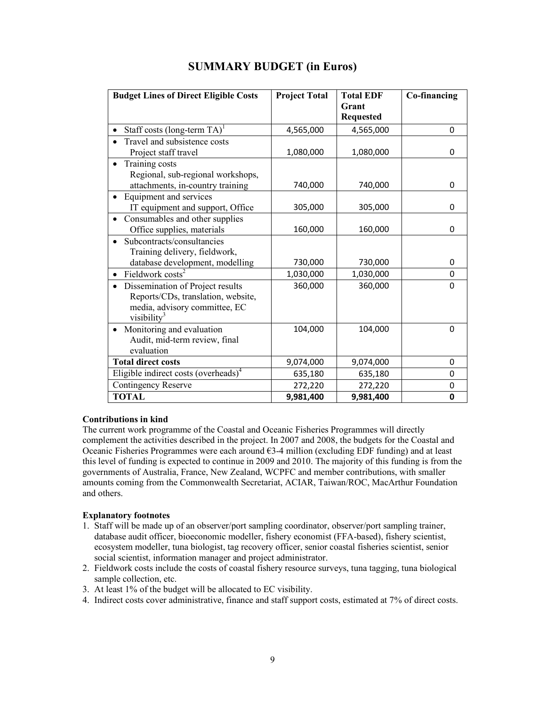| <b>Budget Lines of Direct Eligible Costs</b>                                                                                       | <b>Project Total</b> | <b>Total EDF</b><br>Grant<br><b>Requested</b> | Co-financing |
|------------------------------------------------------------------------------------------------------------------------------------|----------------------|-----------------------------------------------|--------------|
| Staff costs (long-term $TA$ ) <sup>1</sup>                                                                                         | 4,565,000            | 4,565,000                                     | 0            |
| Travel and subsistence costs<br>Project staff travel                                                                               | 1,080,000            | 1,080,000                                     | 0            |
| Training costs<br>Regional, sub-regional workshops,<br>attachments, in-country training                                            | 740,000              | 740,000                                       | $\Omega$     |
| Equipment and services<br>IT equipment and support, Office                                                                         | 305,000              | 305,000                                       | 0            |
| Consumables and other supplies<br>Office supplies, materials                                                                       | 160,000              | 160,000                                       | 0            |
| Subcontracts/consultancies<br>Training delivery, fieldwork,<br>database development, modelling                                     | 730,000              | 730,000                                       | 0            |
| Fieldwork costs <sup>2</sup>                                                                                                       | 1,030,000            | 1,030,000                                     | 0            |
| Dissemination of Project results<br>Reports/CDs, translation, website,<br>media, advisory committee, EC<br>visibility <sup>3</sup> | 360,000              | 360,000                                       | 0            |
| Monitoring and evaluation<br>Audit, mid-term review, final<br>evaluation                                                           | 104,000              | 104,000                                       | 0            |
| <b>Total direct costs</b>                                                                                                          | 9,074,000            | 9,074,000                                     | 0            |
| Eligible indirect costs (overheads) $4$                                                                                            | 635,180              | 635,180                                       | 0            |
| <b>Contingency Reserve</b>                                                                                                         | 272,220              | 272,220                                       | 0            |
| <b>TOTAL</b>                                                                                                                       | 9,981,400            | 9,981,400                                     | 0            |

## SUMMARY BUDGET (in Euros)

#### Contributions in kind

The current work programme of the Coastal and Oceanic Fisheries Programmes will directly complement the activities described in the project. In 2007 and 2008, the budgets for the Coastal and Oceanic Fisheries Programmes were each around €3-4 million (excluding EDF funding) and at least this level of funding is expected to continue in 2009 and 2010. The majority of this funding is from the governments of Australia, France, New Zealand, WCPFC and member contributions, with smaller amounts coming from the Commonwealth Secretariat, ACIAR, Taiwan/ROC, MacArthur Foundation and others.

## Explanatory footnotes

- 1. Staff will be made up of an observer/port sampling coordinator, observer/port sampling trainer, database audit officer, bioeconomic modeller, fishery economist (FFA-based), fishery scientist, ecosystem modeller, tuna biologist, tag recovery officer, senior coastal fisheries scientist, senior social scientist, information manager and project administrator.
- 2. Fieldwork costs include the costs of coastal fishery resource surveys, tuna tagging, tuna biological sample collection, etc.
- 3. At least 1% of the budget will be allocated to EC visibility.
- 4. Indirect costs cover administrative, finance and staff support costs, estimated at 7% of direct costs.